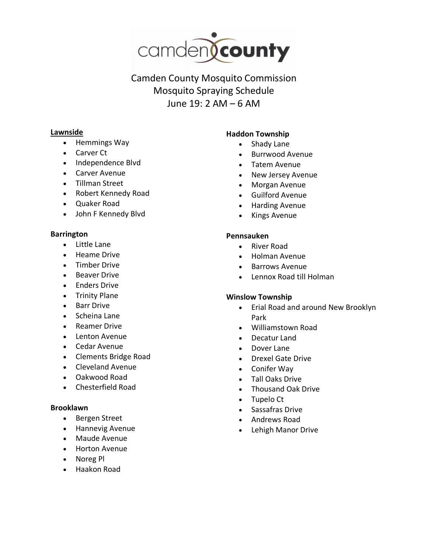

Camden County Mosquito Commission Mosquito Spraying Schedule June 19: 2 AM – 6 AM

### **Lawnside**

- Hemmings Way
- Carver Ct
- Independence Blvd
- Carver Avenue
- Tillman Street
- Robert Kennedy Road
- Quaker Road
- John F Kennedy Blvd

#### **Barrington**

- Little Lane
- Heame Drive
- Timber Drive
- Beaver Drive
- Enders Drive
- Trinity Plane
- **Barr Drive**
- Scheina Lane
- Reamer Drive
- Lenton Avenue
- Cedar Avenue
- Clements Bridge Road
- Cleveland Avenue
- Oakwood Road
- Chesterfield Road

#### **Brooklawn**

- Bergen Street
- Hannevig Avenue
- Maude Avenue
- Horton Avenue
- Noreg Pl
- Haakon Road

## **Haddon Township**

- Shady Lane
- Burrwood Avenue
- Tatem Avenue
- New Jersey Avenue
- Morgan Avenue
- Guilford Avenue
- Harding Avenue
- Kings Avenue

## **Pennsauken**

- River Road
- Holman Avenue
- Barrows Avenue
- Lennox Road till Holman

# **Winslow Township**

- Erial Road and around New Brooklyn Park
- Williamstown Road
- Decatur Land
- Dover Lane
- Drexel Gate Drive
- Conifer Way
- Tall Oaks Drive
- Thousand Oak Drive
- Tupelo Ct
- Sassafras Drive
- Andrews Road
- Lehigh Manor Drive